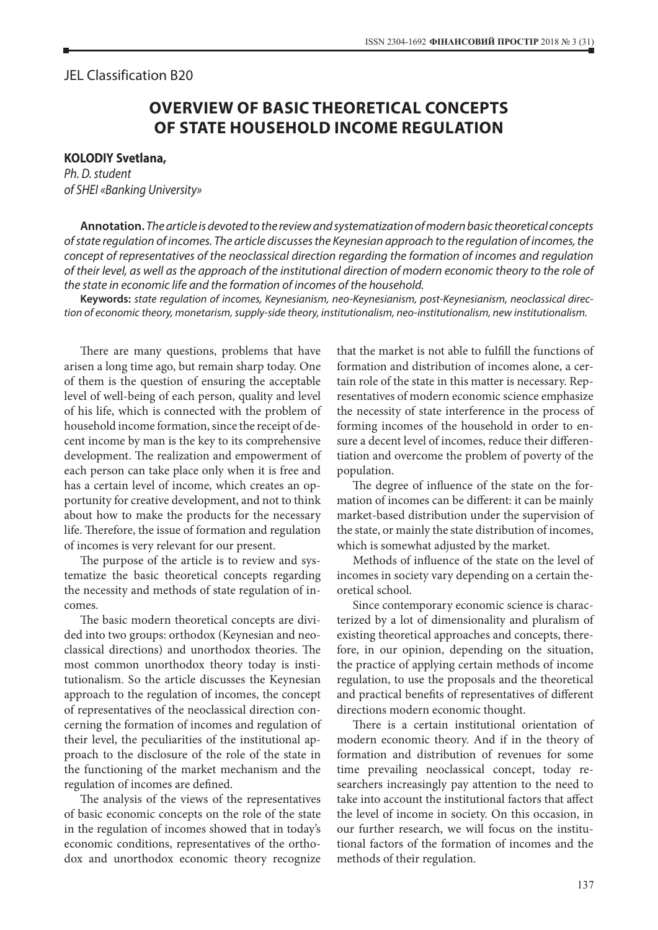## JEL Classіfіcatіon B20

## **OVERVIEW OF BASIC THEORETICAL CONCEPTS OF STATE HOUSEHOLD INCOME REGULATION**

## **KOLODIY Svetlana,**

*Ph. D. student of SHEI «Banking University»*

**Annotation.** *The article is devoted to the review and systematization of modern basic theoretical concepts of state regulation of incomes. The article discusses the Keynesian approach to the regulation of incomes, the concept of representatives of the neoclassical direction regarding the formation of incomes and regulation of their level, as well as the approach of the institutional direction of modern economic theory to the role of the state in economic life and the formation of incomes of the household.*

**Keywords:** *state regulation of incomes, Keynesianism, neo-Keynesianism, post-Keynesianism, neoclassical direction of economic theory, monetarism, supply-side theory, institutionalism, neo-institutionalism, new institutionalism.*

There are many questions, problems that have arisen a long time ago, but remain sharp today. One of them is the question of ensuring the acceptable level of well-being of each person, quality and level of his life, which is connected with the problem of household income formation, since the receipt of decent income by man is the key to its comprehensive development. The realization and empowerment of each person can take place only when it is free and has a certain level of income, which creates an opportunity for creative development, and not to think about how to make the products for the necessary life. Therefore, the issue of formation and regulation of incomes is very relevant for our present.

The purpose of the article is to review and systematize the basic theoretical concepts regarding the necessity and methods of state regulation of incomes.

The basic modern theoretical concepts are divided into two groups: orthodox (Keynesian and neoclassical directions) and unorthodox theories. The most common unorthodox theory today is institutionalism. So the article discusses the Keynesian approach to the regulation of incomes, the concept of representatives of the neoclassical direction concerning the formation of incomes and regulation of their level, the peculiarities of the institutional approach to the disclosure of the role of the state in the functioning of the market mechanism and the regulation of incomes are defined.

The analysis of the views of the representatives of basic economic concepts on the role of the state in the regulation of incomes showed that in today's economic conditions, representatives of the orthodox and unorthodox economic theory recognize

that the market is not able to fulfill the functions of formation and distribution of incomes alone, a certain role of the state in this matter is necessary. Representatives of modern economic science emphasize the necessity of state interference in the process of forming incomes of the household in order to ensure a decent level of incomes, reduce their differentiation and overcome the problem of poverty of the population.

The degree of influence of the state on the formation of incomes can be different: it can be mainly market-based distribution under the supervision of the state, or mainly the state distribution of incomes, which is somewhat adjusted by the market.

Methods of influence of the state on the level of incomes in society vary depending on a certain theoretical school.

Since contemporary economic science is characterized by a lot of dimensionality and pluralism of existing theoretical approaches and concepts, therefore, in our opinion, depending on the situation, the practice of applying certain methods of income regulation, to use the proposals and the theoretical and practical benefits of representatives of different directions modern economic thought.

There is a certain institutional orientation of modern economic theory. And if in the theory of formation and distribution of revenues for some time prevailing neoclassical concept, today researchers increasingly pay attention to the need to take into account the institutional factors that affect the level of income in society. On this occasion, in our further research, we will focus on the institutional factors of the formation of incomes and the methods of their regulation.